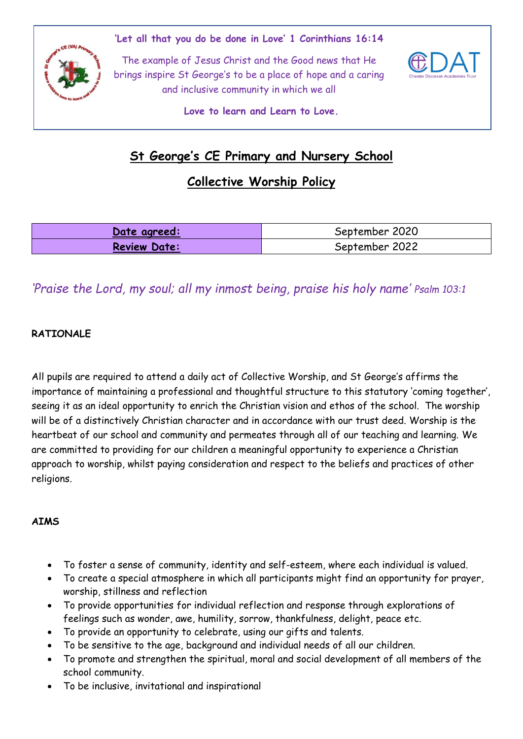**'Let all that you do be done in Love' 1 Corinthians 16:14**



The example of Jesus Christ and the Good news that He brings inspire St George's to be a place of hope and a caring and inclusive community in which we all



**Love to learn and Learn to Love.**

# **St George's CE Primary and Nursery School**

## **Collective Worship Policy**

| Date agreed:        | September 2020 |
|---------------------|----------------|
| <b>Review Date:</b> | September 2022 |

## *'Praise the Lord, my soul; all my inmost being, praise his holy name' Psalm 103:1*

## **RATIONALE**

All pupils are required to attend a daily act of Collective Worship, and St George's affirms the importance of maintaining a professional and thoughtful structure to this statutory 'coming together', seeing it as an ideal opportunity to enrich the Christian vision and ethos of the school. The worship will be of a distinctively Christian character and in accordance with our trust deed. Worship is the heartbeat of our school and community and permeates through all of our teaching and learning. We are committed to providing for our children a meaningful opportunity to experience a Christian approach to worship, whilst paying consideration and respect to the beliefs and practices of other religions.

## **AIMS**

- To foster a sense of community, identity and self-esteem, where each individual is valued.
- To create a special atmosphere in which all participants might find an opportunity for prayer, worship, stillness and reflection
- To provide opportunities for individual reflection and response through explorations of feelings such as wonder, awe, humility, sorrow, thankfulness, delight, peace etc.
- To provide an opportunity to celebrate, using our gifts and talents.
- To be sensitive to the age, background and individual needs of all our children.
- To promote and strengthen the spiritual, moral and social development of all members of the school community.
- To be inclusive, invitational and inspirational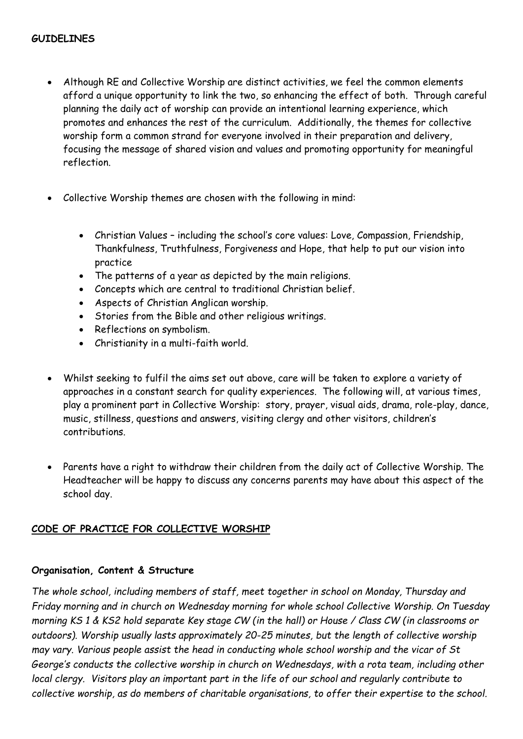- Although RE and Collective Worship are distinct activities, we feel the common elements afford a unique opportunity to link the two, so enhancing the effect of both. Through careful planning the daily act of worship can provide an intentional learning experience, which promotes and enhances the rest of the curriculum. Additionally, the themes for collective worship form a common strand for everyone involved in their preparation and delivery, focusing the message of shared vision and values and promoting opportunity for meaningful reflection.
- Collective Worship themes are chosen with the following in mind:
	- Christian Values including the school's core values: Love, Compassion, Friendship, Thankfulness, Truthfulness, Forgiveness and Hope, that help to put our vision into practice
	- The patterns of a year as depicted by the main religions.
	- Concepts which are central to traditional Christian belief.
	- Aspects of Christian Anglican worship.
	- Stories from the Bible and other religious writings.
	- Reflections on symbolism.
	- Christianity in a multi-faith world.
- Whilst seeking to fulfil the aims set out above, care will be taken to explore a variety of approaches in a constant search for quality experiences. The following will, at various times, play a prominent part in Collective Worship: story, prayer, visual aids, drama, role-play, dance, music, stillness, questions and answers, visiting clergy and other visitors, children's contributions.
- Parents have a right to withdraw their children from the daily act of Collective Worship. The Headteacher will be happy to discuss any concerns parents may have about this aspect of the school day.

#### **CODE OF PRACTICE FOR COLLECTIVE WORSHIP**

#### **Organisation, Content & Structure**

*The whole school, including members of staff, meet together in school on Monday, Thursday and Friday morning and in church on Wednesday morning for whole school Collective Worship. On Tuesday morning KS 1 & KS2 hold separate Key stage CW (in the hall) or House / Class CW (in classrooms or outdoors). Worship usually lasts approximately 20-25 minutes, but the length of collective worship may vary. Various people assist the head in conducting whole school worship and the vicar of St George's conducts the collective worship in church on Wednesdays, with a rota team, including other local clergy. Visitors play an important part in the life of our school and regularly contribute to collective worship, as do members of charitable organisations, to offer their expertise to the school.*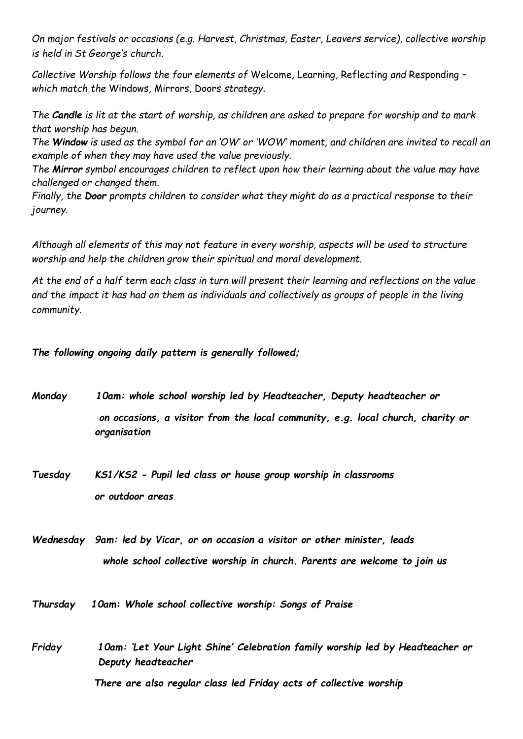*On major festivals or occasions (e.g. Harvest, Christmas, Easter, Leavers service), collective worship is held in St George's church.*

*Collective Worship follows the four elements of* Welcome*,* Learning*,* Reflecting *and* Responding *– which match the* Windows*,* Mirrors*,* Doors *strategy.*

*The Candle* is lit at the start of worship, as children are asked to prepare for worship and to mark *that worship has begun.*

*The Window is used as the symbol for an 'OW' or 'WOW' moment, and children are invited to recall an example of when they may have used the value previously.*

*The Mirror symbol encourages children to reflect upon how their learning about the value may have challenged or changed them.*

*Finally, the Door prompts children to consider what they might do as a practical response to their journey.*

*Although all elements of this may not feature in every worship, aspects will be used to structure worship and help the children grow their spiritual and moral development.*

*At the end of a half term each class in turn will present their learning and reflections on the value and the impact it has had on them as individuals and collectively as groups of people in the living community.*

*The following ongoing daily pattern is generally followed;*

- *Monday 10am: whole school worship led by Headteacher, Deputy headteacher or on occasions, a visitor from the local community, e.g. local church, charity or organisation*
- *Tuesday KS1/KS2 - Pupil led class or house group worship in classrooms or outdoor areas*

*Wednesday 9am: led by Vicar, or on occasion a visitor or other minister, leads whole school collective worship in church. Parents are welcome to join us*

*Thursday 10am: Whole school collective worship: Songs of Praise* 

*Friday 10am: 'Let Your Light Shine' Celebration family worship led by Headteacher or Deputy headteacher*

 *There are also regular class led Friday acts of collective worship*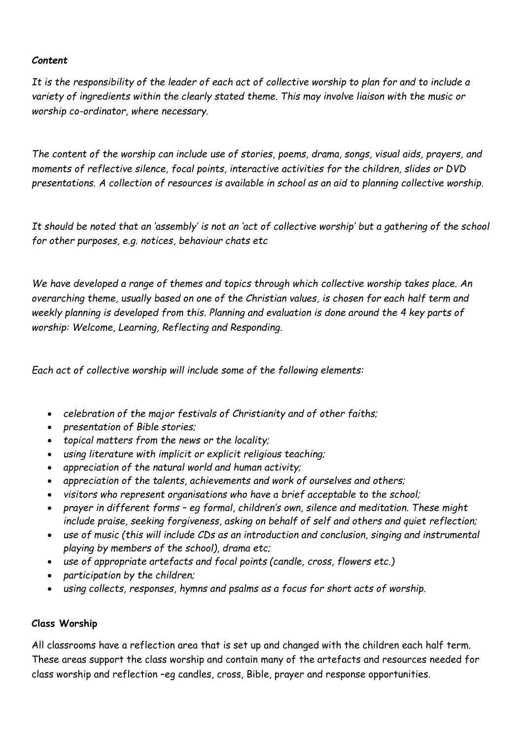## *Content*

*It is the responsibility of the leader of each act of collective worship to plan for and to include a variety of ingredients within the clearly stated theme. This may involve liaison with the music or worship co-ordinator, where necessary.*

*The content of the worship can include use of stories, poems, drama, songs, visual aids, prayers, and moments of reflective silence, focal points, interactive activities for the children, slides or DVD presentations. A collection of resources is available in school as an aid to planning collective worship.* 

*It should be noted that an 'assembly' is not an 'act of collective worship' but a gathering of the school for other purposes, e.g. notices, behaviour chats etc*

*We have developed a range of themes and topics through which collective worship takes place. An overarching theme, usually based on one of the Christian values, is chosen for each half term and weekly planning is developed from this. Planning and evaluation is done around the 4 key parts of worship: Welcome, Learning, Reflecting and Responding.*

*Each act of collective worship will include some of the following elements:*

- *celebration of the major festivals of Christianity and of other faiths;*
- *presentation of Bible stories;*
- *topical matters from the news or the locality;*
- *using literature with implicit or explicit religious teaching;*
- *appreciation of the natural world and human activity;*
- *appreciation of the talents, achievements and work of ourselves and others;*
- *visitors who represent organisations who have a brief acceptable to the school;*
- *prayer in different forms – eg formal, children's own, silence and meditation. These might include praise, seeking forgiveness, asking on behalf of self and others and quiet reflection;*
- *use of music (this will include CDs as an introduction and conclusion, singing and instrumental playing by members of the school), drama etc;*
- *use of appropriate artefacts and focal points (candle, cross, flowers etc.)*
- *participation by the children;*
- *using collects, responses, hymns and psalms as a focus for short acts of worship.*

## **Class Worship**

All classrooms have a reflection area that is set up and changed with the children each half term. These areas support the class worship and contain many of the artefacts and resources needed for class worship and reflection –eg candles, cross, Bible, prayer and response opportunities.